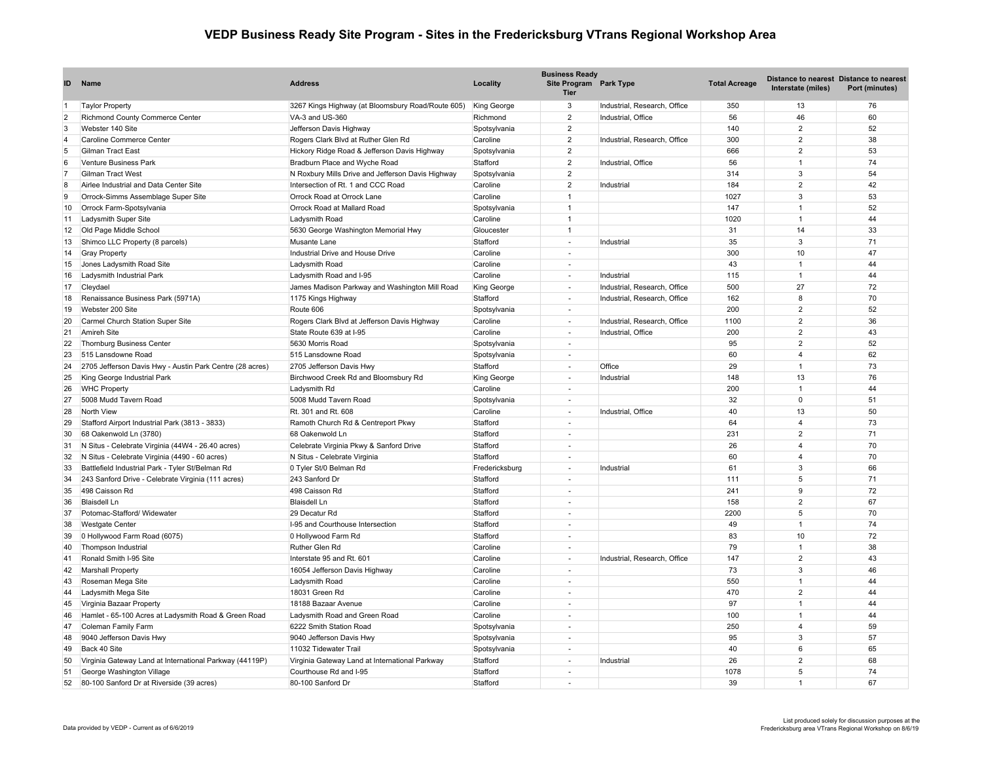## **VEDP Business Ready Site Program - Sites in the Fredericksburg VTrans Regional Workshop Area**

| ID             | <b>Name</b>                                              | <b>Address</b>                                    | Locality       | <b>Business Ready</b><br>Site Program Park Type<br><b>Tier</b> |                              | <b>Total Acreage</b> | Interstate (miles) | Distance to nearest Distance to nearest<br>Port (minutes) |
|----------------|----------------------------------------------------------|---------------------------------------------------|----------------|----------------------------------------------------------------|------------------------------|----------------------|--------------------|-----------------------------------------------------------|
|                | <b>Taylor Property</b>                                   | 3267 Kings Highway (at Bloomsbury Road/Route 605) | King George    | 3                                                              | Industrial, Research, Office | 350                  | 13                 | 76                                                        |
| $\overline{2}$ | Richmond County Commerce Center                          | VA-3 and US-360                                   | Richmond       | $\overline{2}$                                                 | Industrial, Office           | 56                   | 46                 | 60                                                        |
| $\mathcal{R}$  | Webster 140 Site                                         | Jefferson Davis Highway                           | Spotsylvania   | $\overline{2}$                                                 |                              | 140                  | $\overline{2}$     | 52                                                        |
| 4              | Caroline Commerce Center                                 | Rogers Clark Blvd at Ruther Glen Rd               | Caroline       | $\overline{2}$                                                 | Industrial, Research, Office | 300                  | $\overline{2}$     | 38                                                        |
| 5              | Gilman Tract East                                        | Hickory Ridge Road & Jefferson Davis Highway      | Spotsylvania   | $\overline{2}$                                                 |                              | 666                  | $\overline{2}$     | 53                                                        |
| 6              | Venture Business Park                                    | Bradburn Place and Wyche Road                     | Stafford       | $\overline{2}$                                                 | Industrial, Office           | 56                   | $\overline{1}$     | 74                                                        |
|                | <b>Gilman Tract West</b>                                 | N Roxbury Mills Drive and Jefferson Davis Highway | Spotsylvania   | 2                                                              |                              | 314                  | 3                  | 54                                                        |
| 8              | Airlee Industrial and Data Center Site                   | Intersection of Rt. 1 and CCC Road                | Caroline       | $\overline{2}$                                                 | Industrial                   | 184                  | $\overline{2}$     | 42                                                        |
| 9              | Orrock-Simms Assemblage Super Site                       | Orrock Road at Orrock Lane                        | Caroline       | $\mathbf{1}$                                                   |                              | 1027                 | $\overline{3}$     | 53                                                        |
| 10             | Orrock Farm-Spotsylvania                                 | Orrock Road at Mallard Road                       | Spotsylvania   | $\overline{1}$                                                 |                              | 147                  | $\overline{1}$     | 52                                                        |
| 11             | Ladysmith Super Site                                     | Ladysmith Road                                    | Caroline       | $\overline{1}$                                                 |                              | 1020                 | $\overline{1}$     | 44                                                        |
| 12             | Old Page Middle School                                   | 5630 George Washington Memorial Hwy               | Gloucester     | $\mathbf{1}$                                                   |                              | 31                   | 14                 | 33                                                        |
| 13             | Shimco LLC Property (8 parcels)                          | Musante Lane                                      | Stafford       | $\overline{\phantom{a}}$                                       | Industrial                   | 35                   | 3                  | 71                                                        |
| 14             | <b>Gray Property</b>                                     | Industrial Drive and House Drive                  | Caroline       |                                                                |                              | 300                  | 10                 | 47                                                        |
| 15             | Jones Ladysmith Road Site                                | Ladysmith Road                                    | Caroline       | $\sim$                                                         |                              | 43                   | $\overline{1}$     | 44                                                        |
| 16             | Ladysmith Industrial Park                                | Ladysmith Road and I-95                           | Caroline       |                                                                | Industrial                   | 115                  | $\overline{1}$     | 44                                                        |
| 17             | Cleydael                                                 | James Madison Parkway and Washington Mill Road    | King George    | $\sim$                                                         | Industrial, Research, Office | 500                  | 27                 | 72                                                        |
| 18             | Renaissance Business Park (5971A)                        | 1175 Kings Highway                                | Stafford       | ÷.                                                             | Industrial, Research, Office | 162                  | 8                  | 70                                                        |
| 19             | Webster 200 Site                                         | Route 606                                         | Spotsylvania   | ÷.                                                             |                              | 200                  | $\overline{2}$     | 52                                                        |
| 20             | Carmel Church Station Super Site                         | Rogers Clark Blvd at Jefferson Davis Highway      | Caroline       | $\sim$                                                         | Industrial, Research, Office | 1100                 | $\overline{2}$     | 36                                                        |
| 21             | Amireh Site                                              | State Route 639 at I-95                           | Caroline       | ÷.                                                             | Industrial, Office           | 200                  | $\overline{2}$     | 43                                                        |
| 22             | Thornburg Business Center                                | 5630 Morris Road                                  | Spotsylvania   | $\sim$                                                         |                              | 95                   | $\overline{2}$     | 52                                                        |
| 23             | 515 Lansdowne Road                                       | 515 Lansdowne Road                                | Spotsylvania   | $\sim$                                                         |                              | 60                   | $\overline{4}$     | 62                                                        |
| 24             | 2705 Jefferson Davis Hwy - Austin Park Centre (28 acres) | 2705 Jefferson Davis Hwy                          | Stafford       | $\sim$                                                         | Office                       | 29                   | $\mathbf{1}$       | 73                                                        |
| 25             | King George Industrial Park                              | Birchwood Creek Rd and Bloomsbury Rd              | King George    | ÷.                                                             | Industrial                   | 148                  | 13                 | 76                                                        |
| 26             | <b>WHC Property</b>                                      | Ladysmith Rd                                      | Caroline       | $\sim$                                                         |                              | 200                  | $\overline{1}$     | 44                                                        |
| 27             | 5008 Mudd Tavern Road                                    | 5008 Mudd Tavern Road                             | Spotsylvania   | $\sim$                                                         |                              | 32                   | $\mathbf 0$        | 51                                                        |
| 28             | North View                                               | Rt. 301 and Rt. 608                               | Caroline       | $\sim$                                                         | Industrial, Office           | 40                   | 13                 | 50                                                        |
| 29             | Stafford Airport Industrial Park (3813 - 3833)           | Ramoth Church Rd & Centreport Pkwy                | Stafford       | $\sim$                                                         |                              | 64                   | $\overline{4}$     | 73                                                        |
| 30             | 68 Oakenwold Ln (3780)                                   | 68 Oakenwold Ln                                   | Stafford       |                                                                |                              | 231                  | $\mathfrak{p}$     | 71                                                        |
| 31             | N Situs - Celebrate Virginia (44W4 - 26.40 acres)        | Celebrate Virginia Pkwy & Sanford Drive           | Stafford       | $\overline{\phantom{a}}$                                       |                              | 26                   | $\overline{4}$     | 70                                                        |
| 32             | N Situs - Celebrate Virginia (4490 - 60 acres)           | N Situs - Celebrate Virginia                      | Stafford       |                                                                |                              | 60                   | $\overline{4}$     | 70                                                        |
| 33             | Battlefield Industrial Park - Tyler St/Belman Rd         | 0 Tyler St/0 Belman Rd                            | Fredericksburg | $\sim$                                                         | Industrial                   | 61                   | $\mathcal{R}$      | 66                                                        |
| 34             | 243 Sanford Drive - Celebrate Virginia (111 acres)       | 243 Sanford Dr                                    | Stafford       |                                                                |                              | 111                  | 5                  | 71                                                        |
| 35             | 498 Caisson Rd                                           | 498 Caisson Rd                                    | Stafford       |                                                                |                              | 241                  | $\mathbf{Q}$       | 72                                                        |
| 36             | <b>Blaisdell Ln</b>                                      | <b>Blaisdell Ln</b>                               | Stafford       |                                                                |                              | 158                  | $\overline{2}$     | 67                                                        |
| 37             | Potomac-Stafford/ Widewater                              | 29 Decatur Rd                                     | Stafford       |                                                                |                              | 2200                 | 5                  | 70                                                        |
| 38             | <b>Westgate Center</b>                                   | I-95 and Courthouse Intersection                  | Stafford       | $\sim$                                                         |                              | 49                   | $\overline{1}$     | 74                                                        |
| 39             | 0 Hollywood Farm Road (6075)                             | 0 Hollywood Farm Rd                               | Stafford       |                                                                |                              | 83                   | 10                 | 72                                                        |
| 40             | Thompson Industrial                                      | Ruther Glen Rd                                    | Caroline       | ÷.                                                             |                              | 79                   | $\overline{1}$     | 38                                                        |
| 41             | Ronald Smith I-95 Site                                   | Interstate 95 and Rt. 601                         | Caroline       | $\overline{\phantom{a}}$                                       | Industrial, Research, Office | 147                  | $\overline{2}$     | 43                                                        |
| 42             | Marshall Property                                        | 16054 Jefferson Davis Highway                     | Caroline       | ۰.                                                             |                              | 73                   | $\mathcal{R}$      | 46                                                        |
| 43             | Roseman Mega Site                                        | Ladysmith Road                                    | Caroline       | $\sim$                                                         |                              | 550                  | $\overline{1}$     | 44                                                        |
| 44             | Ladysmith Mega Site                                      | 18031 Green Rd                                    | Caroline       |                                                                |                              | 470                  | $\overline{2}$     | 44                                                        |
| 45             | Virginia Bazaar Property                                 | 18188 Bazaar Avenue                               | Caroline       |                                                                |                              | 97                   | $\overline{1}$     | 44                                                        |
| 46             | Hamlet - 65-100 Acres at Ladysmith Road & Green Road     | Ladysmith Road and Green Road                     | Caroline       | ä,                                                             |                              | 100                  | $\overline{1}$     | 44                                                        |
| 47             | Coleman Family Farm                                      | 6222 Smith Station Road                           | Spotsylvania   | $\sim$                                                         |                              | 250                  | $\overline{4}$     | 59                                                        |
| 48             | 9040 Jefferson Davis Hwy                                 | 9040 Jefferson Davis Hwy                          | Spotsylvania   |                                                                |                              | 95                   | 3                  | 57                                                        |
| 49             | Back 40 Site                                             | 11032 Tidewater Trail                             | Spotsylvania   | $\sim$                                                         |                              | 40                   | 6                  | 65                                                        |
| 50             | Virginia Gateway Land at International Parkway (44119P)  | Virginia Gateway Land at International Parkway    | Stafford       | $\sim$                                                         | Industrial                   | 26                   | $\overline{2}$     | 68                                                        |
| 51             | George Washington Village                                | Courthouse Rd and I-95                            | Stafford       | $\sim$                                                         |                              | 1078                 | 5                  | 74                                                        |
| 52             | 80-100 Sanford Dr at Riverside (39 acres)                | 80-100 Sanford Dr                                 | Stafford       |                                                                |                              | 39                   | $\overline{1}$     | 67                                                        |